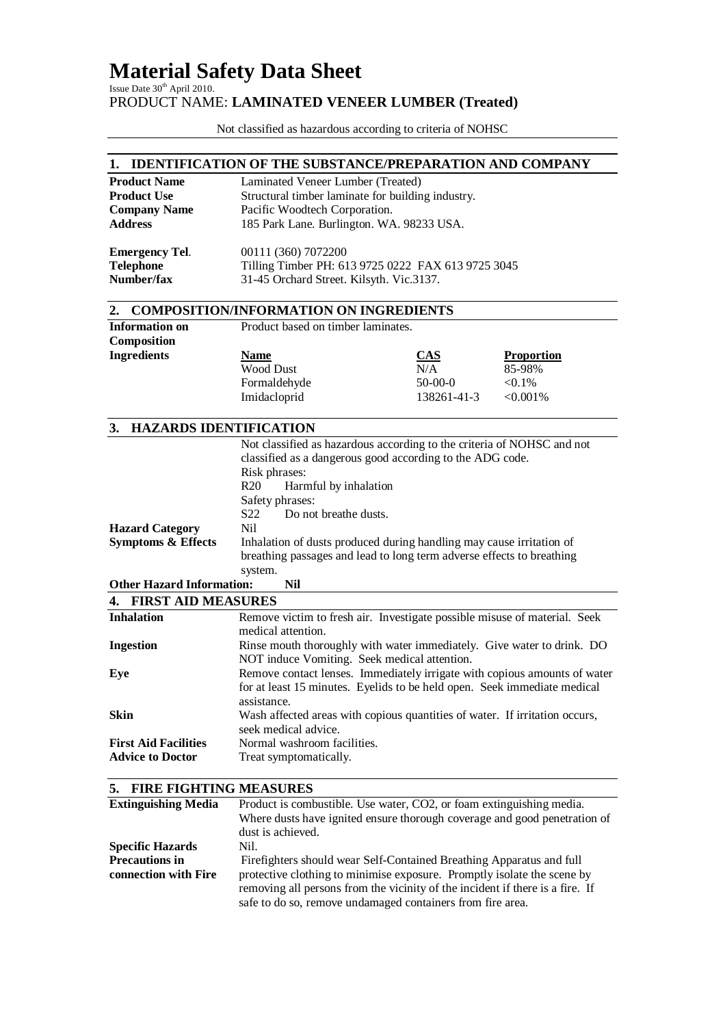# **Material Safety Data Sheet**

Issue Date 30<sup>th</sup> April 2010.

# PRODUCT NAME: **LAMINATED VENEER LUMBER (Treated)**

Not classified as hazardous according to criteria of NOHSC

# **1. IDENTIFICATION OF THE SUBSTANCE/PREPARATION AND COMPANY**

| <b>Product Name</b>   | Laminated Veneer Lumber (Treated)                  |
|-----------------------|----------------------------------------------------|
| <b>Product Use</b>    | Structural timber laminate for building industry.  |
| <b>Company Name</b>   | Pacific Woodtech Corporation.                      |
| <b>Address</b>        | 185 Park Lane. Burlington. WA. 98233 USA.          |
| <b>Emergency Tel.</b> | 00111 (360) 7072200                                |
| <b>Telephone</b>      | Tilling Timber PH: 613 9725 0222 FAX 613 9725 3045 |
| Number/fax            | 31-45 Orchard Street. Kilsyth. Vic.3137.           |

## **2. COMPOSITION/INFORMATION ON INGREDIENTS**

| <b>Information on</b><br><b>Composition</b> | Product based on timber laminates. |             |                   |
|---------------------------------------------|------------------------------------|-------------|-------------------|
| <b>Ingredients</b>                          | <b>Name</b>                        | <b>CAS</b>  | <b>Proportion</b> |
|                                             | <b>Wood Dust</b>                   | N/A         | 85-98%            |
|                                             | Formaldehyde                       | $50-00-0$   | $< 0.1\%$         |
|                                             | Imidacloprid                       | 138261-41-3 | $< 0.001\%$       |

## **3. HAZARDS IDENTIFICATION**

|                               | Not classified as hazardous according to the criteria of NOHSC and not |  |  |
|-------------------------------|------------------------------------------------------------------------|--|--|
|                               | classified as a dangerous good according to the ADG code.              |  |  |
|                               | Risk phrases:                                                          |  |  |
|                               | Harmful by inhalation<br>R <sub>20</sub>                               |  |  |
|                               | Safety phrases:                                                        |  |  |
|                               | Do not breathe dusts.<br>S <sub>22</sub>                               |  |  |
| <b>Hazard Category</b>        | Nil                                                                    |  |  |
| <b>Symptoms &amp; Effects</b> | Inhalation of dusts produced during handling may cause irritation of   |  |  |
|                               | breathing passages and lead to long term adverse effects to breathing  |  |  |
|                               | system.                                                                |  |  |
|                               |                                                                        |  |  |

### **Other Hazard Information: Nil**

| 4. FIRST AID MEASURES                                  |                                                                                                                                                                      |
|--------------------------------------------------------|----------------------------------------------------------------------------------------------------------------------------------------------------------------------|
| <b>Inhalation</b>                                      | Remove victim to fresh air. Investigate possible misuse of material. Seek<br>medical attention.                                                                      |
| <b>Ingestion</b>                                       | Rinse mouth thoroughly with water immediately. Give water to drink. DO<br>NOT induce Vomiting. Seek medical attention.                                               |
| Eye                                                    | Remove contact lenses. Immediately irrigate with copious amounts of water<br>for at least 15 minutes. Eyelids to be held open. Seek immediate medical<br>assistance. |
| <b>Skin</b>                                            | Wash affected areas with copious quantities of water. If irritation occurs,<br>seek medical advice.                                                                  |
| <b>First Aid Facilities</b><br><b>Advice to Doctor</b> | Normal washroom facilities.<br>Treat symptomatically.                                                                                                                |

### **5. FIRE FIGHTING MEASURES**

| <b>Extinguishing Media</b> | Product is combustible. Use water, CO2, or foam extinguishing media.          |
|----------------------------|-------------------------------------------------------------------------------|
|                            | Where dusts have ignited ensure thorough coverage and good penetration of     |
|                            | dust is achieved.                                                             |
| <b>Specific Hazards</b>    | Nil.                                                                          |
| <b>Precautions in</b>      | Firefighters should wear Self-Contained Breathing Apparatus and full          |
| connection with Fire       | protective clothing to minimise exposure. Promptly isolate the scene by       |
|                            | removing all persons from the vicinity of the incident if there is a fire. If |
|                            | safe to do so, remove undamaged containers from fire area.                    |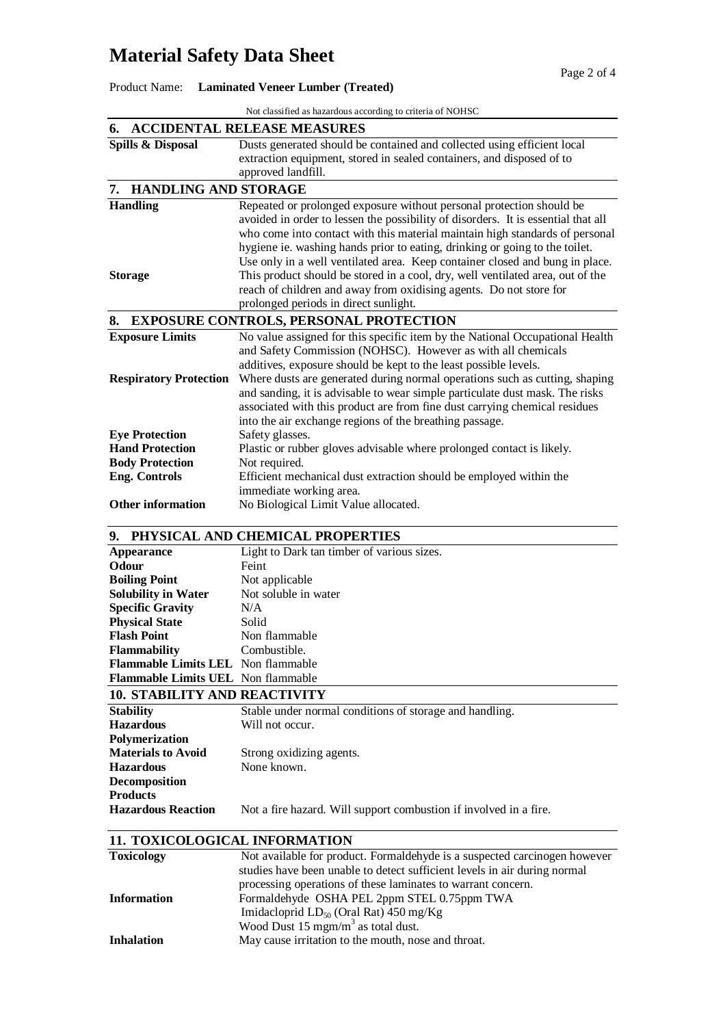# **Material Safety Data Sheet**

|                                        | extraction equipment, stored in sealed containers, and disposed of to             |  |
|----------------------------------------|-----------------------------------------------------------------------------------|--|
|                                        | approved landfill.                                                                |  |
| <b>HANDLING AND STORAGE</b><br>7.      |                                                                                   |  |
| <b>Handling</b>                        | Repeated or prolonged exposure without personal protection should be              |  |
|                                        | avoided in order to lessen the possibility of disorders. It is essential that all |  |
|                                        | who come into contact with this material maintain high standards of personal      |  |
|                                        | hygiene ie. washing hands prior to eating, drinking or going to the toilet.       |  |
|                                        | Use only in a well ventilated area. Keep container closed and bung in place.      |  |
| <b>Storage</b>                         | This product should be stored in a cool, dry, well ventilated area, out of the    |  |
|                                        | reach of children and away from oxidising agents. Do not store for                |  |
|                                        | prolonged periods in direct sunlight.                                             |  |
| 8.                                     | <b>EXPOSURE CONTROLS, PERSONAL PROTECTION</b>                                     |  |
| <b>Exposure Limits</b>                 | No value assigned for this specific item by the National Occupational Health      |  |
|                                        | and Safety Commission (NOHSC). However as with all chemicals                      |  |
|                                        | additives, exposure should be kept to the least possible levels.                  |  |
| <b>Respiratory Protection</b>          | Where dusts are generated during normal operations such as cutting, shaping       |  |
|                                        | and sanding, it is advisable to wear simple particulate dust mask. The risks      |  |
|                                        | associated with this product are from fine dust carrying chemical residues        |  |
|                                        | into the air exchange regions of the breathing passage.                           |  |
| <b>Eye Protection</b>                  | Safety glasses.                                                                   |  |
| <b>Hand Protection</b>                 | Plastic or rubber gloves advisable where prolonged contact is likely.             |  |
| <b>Body Protection</b>                 | Not required.                                                                     |  |
| <b>Eng. Controls</b>                   | Efficient mechanical dust extraction should be employed within the                |  |
|                                        | immediate working area.                                                           |  |
| <b>Other information</b>               | No Biological Limit Value allocated.                                              |  |
| 9.<br>PHYSICAL AND CHEMICAL PROPERTIES |                                                                                   |  |
| Appearance                             | Light to Dark tan timber of various sizes.                                        |  |
| Odour                                  | Feint                                                                             |  |
| <b>Boiling Point</b>                   | Not applicable                                                                    |  |
|                                        |                                                                                   |  |

| vuvu                                      | .                    |
|-------------------------------------------|----------------------|
| <b>Boiling Point</b>                      | Not applicable       |
| <b>Solubility in Water</b>                | Not soluble in water |
| <b>Specific Gravity</b>                   | N/A                  |
| <b>Physical State</b>                     | Solid                |
| <b>Flash Point</b>                        | Non flammable        |
| <b>Flammability</b>                       | Combustible.         |
| <b>Flammable Limits LEL</b> Non flammable |                      |
| <b>Flammable Limits UEL</b> Non flammable |                      |
| <b>10. STABILITY AND REACTIVITY</b>       |                      |

| TV. STADILITT AND REACTIVITT                                      |  |  |
|-------------------------------------------------------------------|--|--|
| Stable under normal conditions of storage and handling.           |  |  |
| Will not occur.                                                   |  |  |
|                                                                   |  |  |
| Strong oxidizing agents.                                          |  |  |
| None known.                                                       |  |  |
|                                                                   |  |  |
|                                                                   |  |  |
| Not a fire hazard. Will support combustion if involved in a fire. |  |  |
|                                                                   |  |  |

## **11. TOXICOLOGICAL INFORMATION**

| <b>Toxicology</b>  | Not available for product. Formaldehyde is a suspected carcinogen however |
|--------------------|---------------------------------------------------------------------------|
|                    | studies have been unable to detect sufficient levels in air during normal |
|                    | processing operations of these laminates to warrant concern.              |
| <b>Information</b> | Formaldehyde OSHA PEL 2ppm STEL 0.75ppm TWA                               |
|                    | Imidacloprid $LD_{50}$ (Oral Rat) 450 mg/Kg                               |
|                    | Wood Dust 15 mgm/m <sup>3</sup> as total dust.                            |
| <b>Inhalation</b>  | May cause irritation to the mouth, nose and throat.                       |